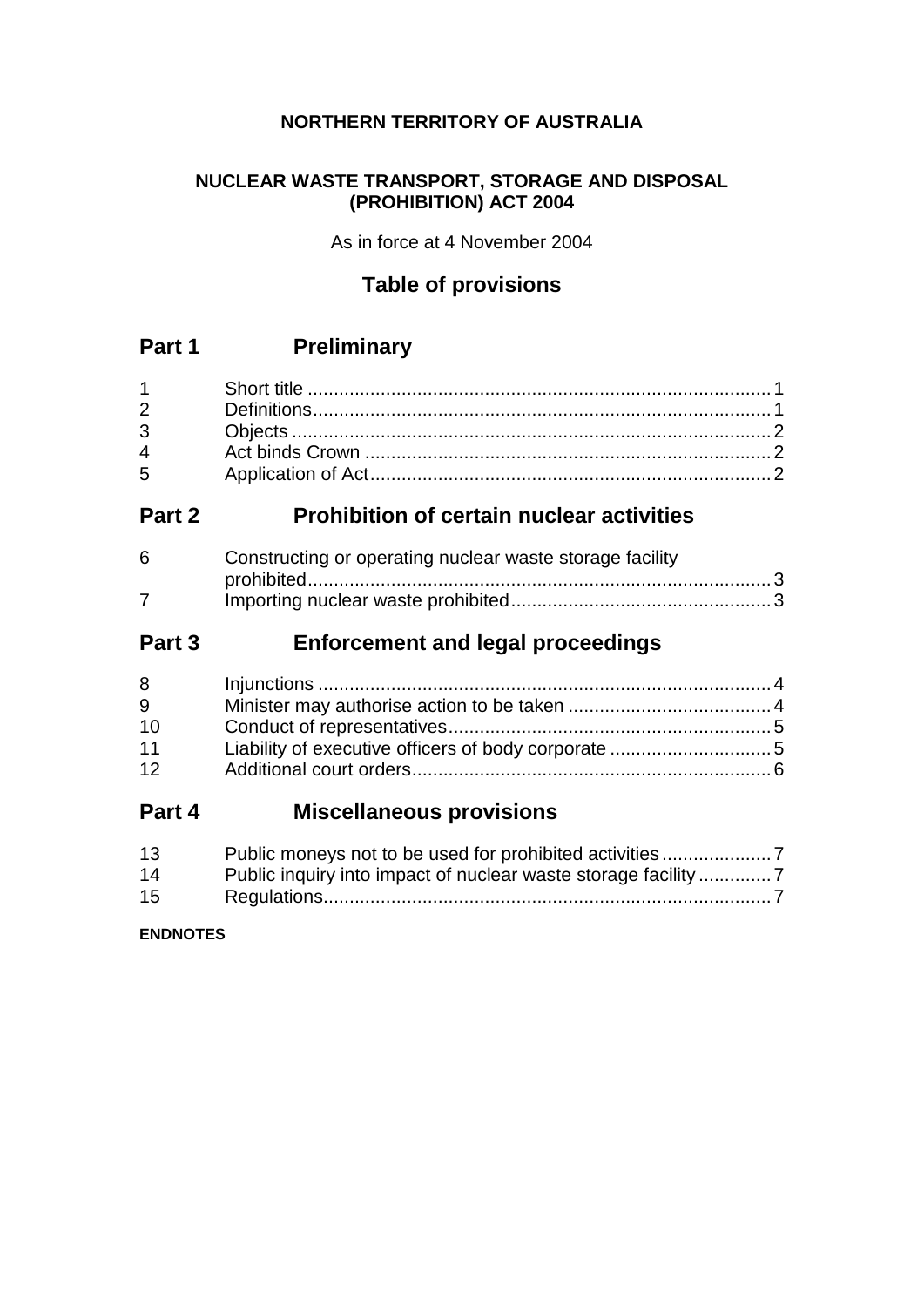## **NORTHERN TERRITORY OF AUSTRALIA**

### **NUCLEAR WASTE TRANSPORT, STORAGE AND DISPOSAL (PROHIBITION) ACT 2004**

As in force at 4 November 2004

# **Table of provisions**

# **Part 1 Preliminary**

# **Part 2 Prohibition of certain nuclear activities**

| 6 | Constructing or operating nuclear waste storage facility |  |
|---|----------------------------------------------------------|--|
|   |                                                          |  |
|   |                                                          |  |

# **Part 3 Enforcement and legal proceedings**

| 8  |  |
|----|--|
| 9  |  |
| 10 |  |
| 11 |  |
| 12 |  |
|    |  |

# **Part 4 Miscellaneous provisions**

| 13 |  |
|----|--|
| 14 |  |
| 15 |  |

**ENDNOTES**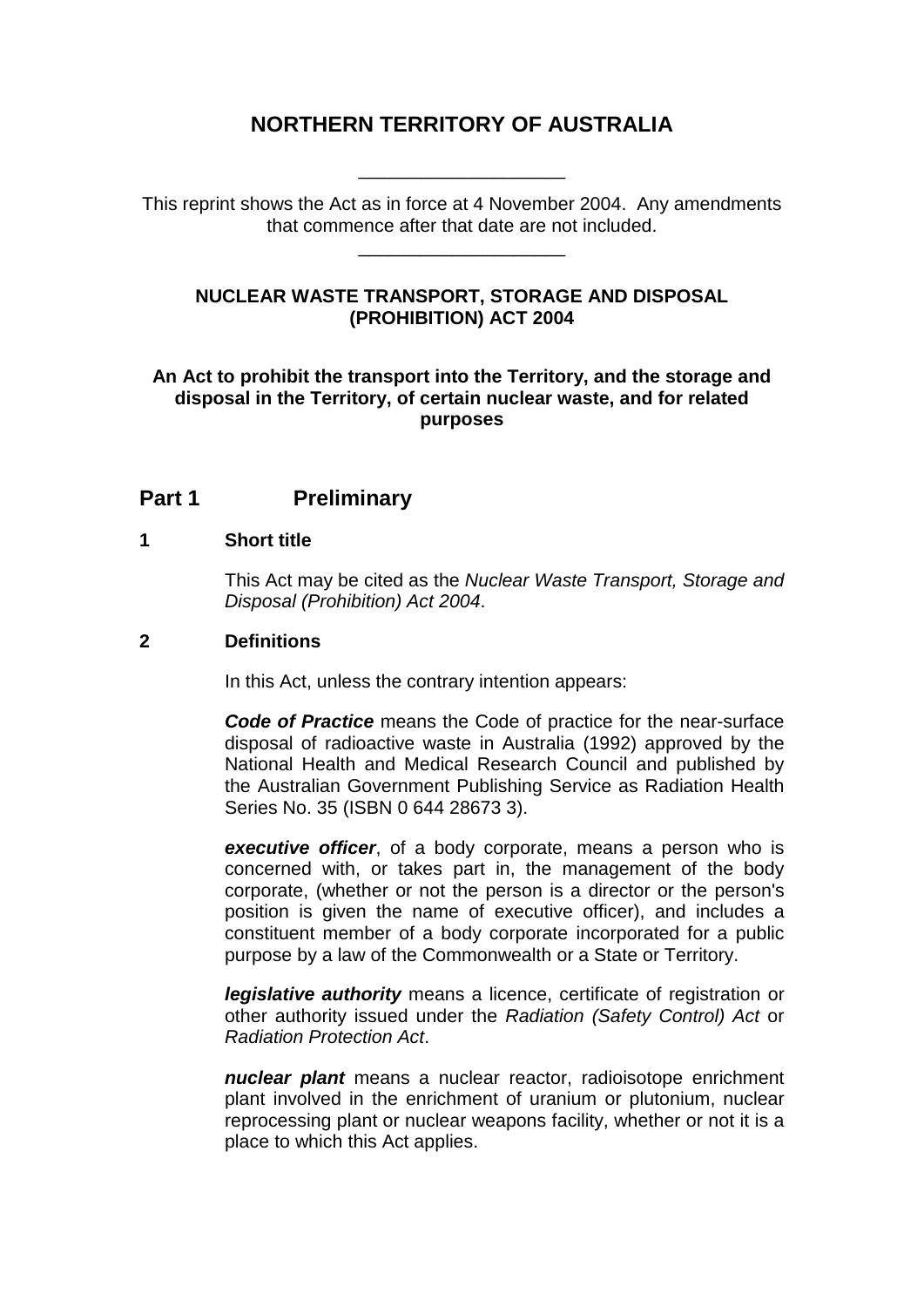# **NORTHERN TERRITORY OF AUSTRALIA**

This reprint shows the Act as in force at 4 November 2004. Any amendments that commence after that date are not included.

\_\_\_\_\_\_\_\_\_\_\_\_\_\_\_\_\_\_\_\_

\_\_\_\_\_\_\_\_\_\_\_\_\_\_\_\_\_\_\_\_

### **NUCLEAR WASTE TRANSPORT, STORAGE AND DISPOSAL (PROHIBITION) ACT 2004**

#### **An Act to prohibit the transport into the Territory, and the storage and disposal in the Territory, of certain nuclear waste, and for related purposes**

## **Part 1 Preliminary**

#### **1 Short title**

This Act may be cited as the *Nuclear Waste Transport, Storage and Disposal (Prohibition) Act 2004*.

### **2 Definitions**

In this Act, unless the contrary intention appears:

*Code of Practice* means the Code of practice for the near-surface disposal of radioactive waste in Australia (1992) approved by the National Health and Medical Research Council and published by the Australian Government Publishing Service as Radiation Health Series No. 35 (ISBN 0 644 28673 3).

*executive officer*, of a body corporate, means a person who is concerned with, or takes part in, the management of the body corporate, (whether or not the person is a director or the person's position is given the name of executive officer), and includes a constituent member of a body corporate incorporated for a public purpose by a law of the Commonwealth or a State or Territory.

*legislative authority* means a licence, certificate of registration or other authority issued under the *Radiation (Safety Control) Act* or *Radiation Protection Act*.

*nuclear plant* means a nuclear reactor, radioisotope enrichment plant involved in the enrichment of uranium or plutonium, nuclear reprocessing plant or nuclear weapons facility, whether or not it is a place to which this Act applies.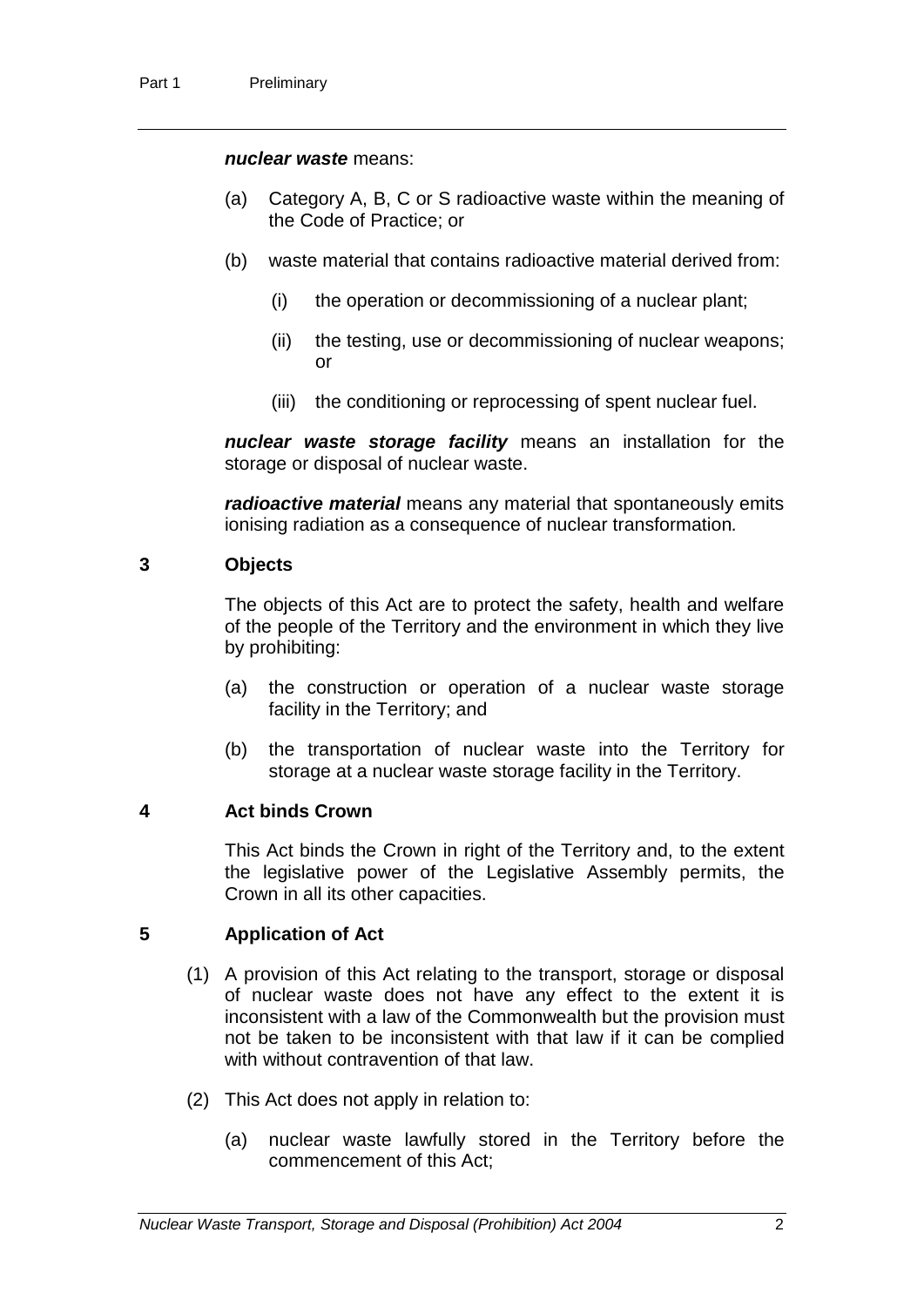#### *nuclear waste* means:

- (a) Category A, B, C or S radioactive waste within the meaning of the Code of Practice; or
- (b) waste material that contains radioactive material derived from:
	- (i) the operation or decommissioning of a nuclear plant;
	- (ii) the testing, use or decommissioning of nuclear weapons; or
	- (iii) the conditioning or reprocessing of spent nuclear fuel.

*nuclear waste storage facility* means an installation for the storage or disposal of nuclear waste.

*radioactive material* means any material that spontaneously emits ionising radiation as a consequence of nuclear transformation*.*

#### **3 Objects**

The objects of this Act are to protect the safety, health and welfare of the people of the Territory and the environment in which they live by prohibiting:

- (a) the construction or operation of a nuclear waste storage facility in the Territory; and
- (b) the transportation of nuclear waste into the Territory for storage at a nuclear waste storage facility in the Territory.

#### **4 Act binds Crown**

This Act binds the Crown in right of the Territory and, to the extent the legislative power of the Legislative Assembly permits, the Crown in all its other capacities.

#### **5 Application of Act**

- (1) A provision of this Act relating to the transport, storage or disposal of nuclear waste does not have any effect to the extent it is inconsistent with a law of the Commonwealth but the provision must not be taken to be inconsistent with that law if it can be complied with without contravention of that law.
- (2) This Act does not apply in relation to:
	- (a) nuclear waste lawfully stored in the Territory before the commencement of this Act;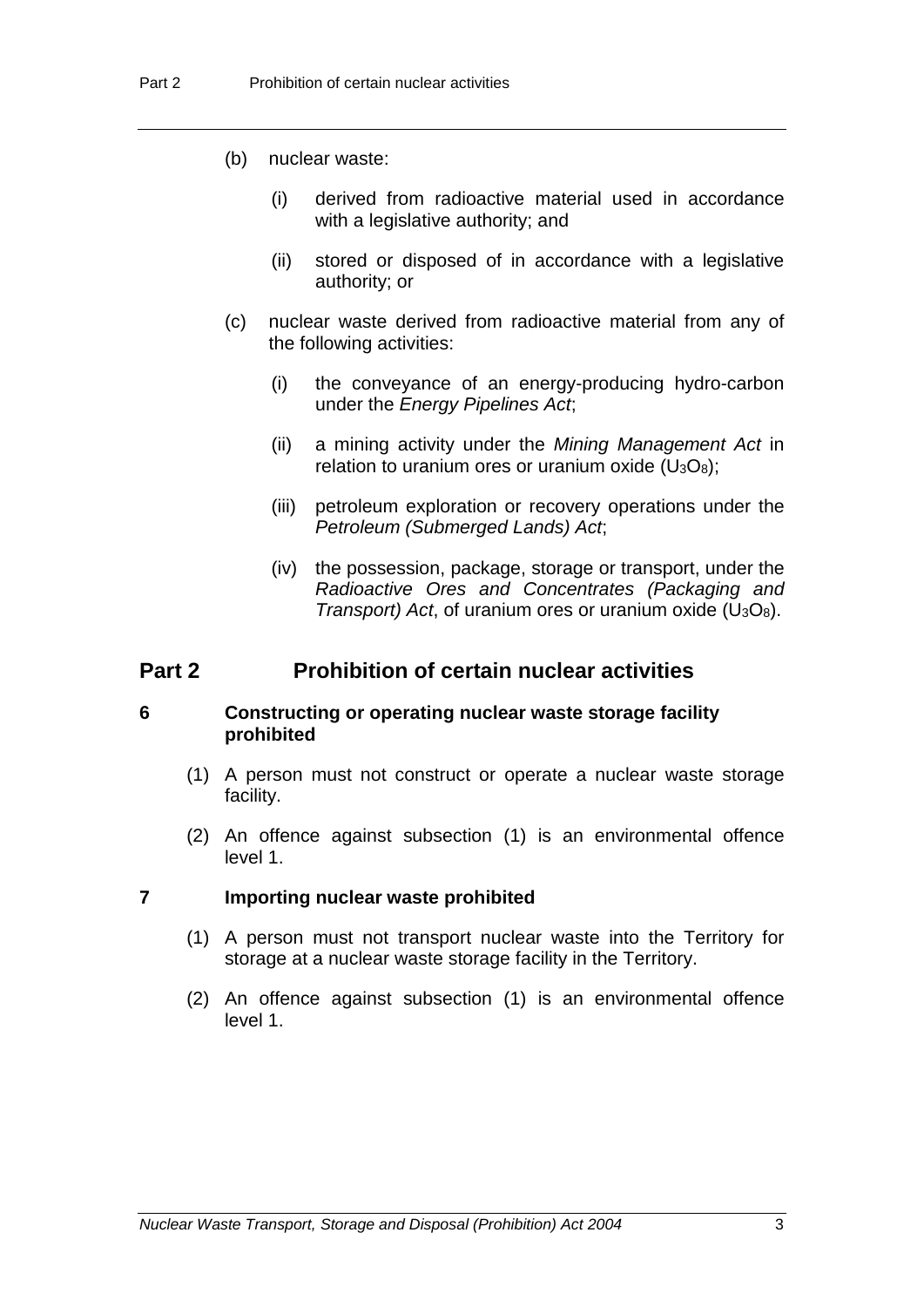- (b) nuclear waste:
	- (i) derived from radioactive material used in accordance with a legislative authority; and
	- (ii) stored or disposed of in accordance with a legislative authority; or
- (c) nuclear waste derived from radioactive material from any of the following activities:
	- (i) the conveyance of an energy-producing hydro-carbon under the *Energy Pipelines Act*;
	- (ii) a mining activity under the *Mining Management Act* in relation to uranium ores or uranium oxide  $(U_3O_8)$ ;
	- (iii) petroleum exploration or recovery operations under the *Petroleum (Submerged Lands) Act*;
	- (iv) the possession, package, storage or transport, under the *Radioactive Ores and Concentrates (Packaging and Transport) Act*, of uranium ores or uranium oxide (U3O8).

### **Part 2 Prohibition of certain nuclear activities**

#### **6 Constructing or operating nuclear waste storage facility prohibited**

- (1) A person must not construct or operate a nuclear waste storage facility.
- (2) An offence against subsection (1) is an environmental offence level 1.

#### **7 Importing nuclear waste prohibited**

- (1) A person must not transport nuclear waste into the Territory for storage at a nuclear waste storage facility in the Territory.
- (2) An offence against subsection (1) is an environmental offence level 1.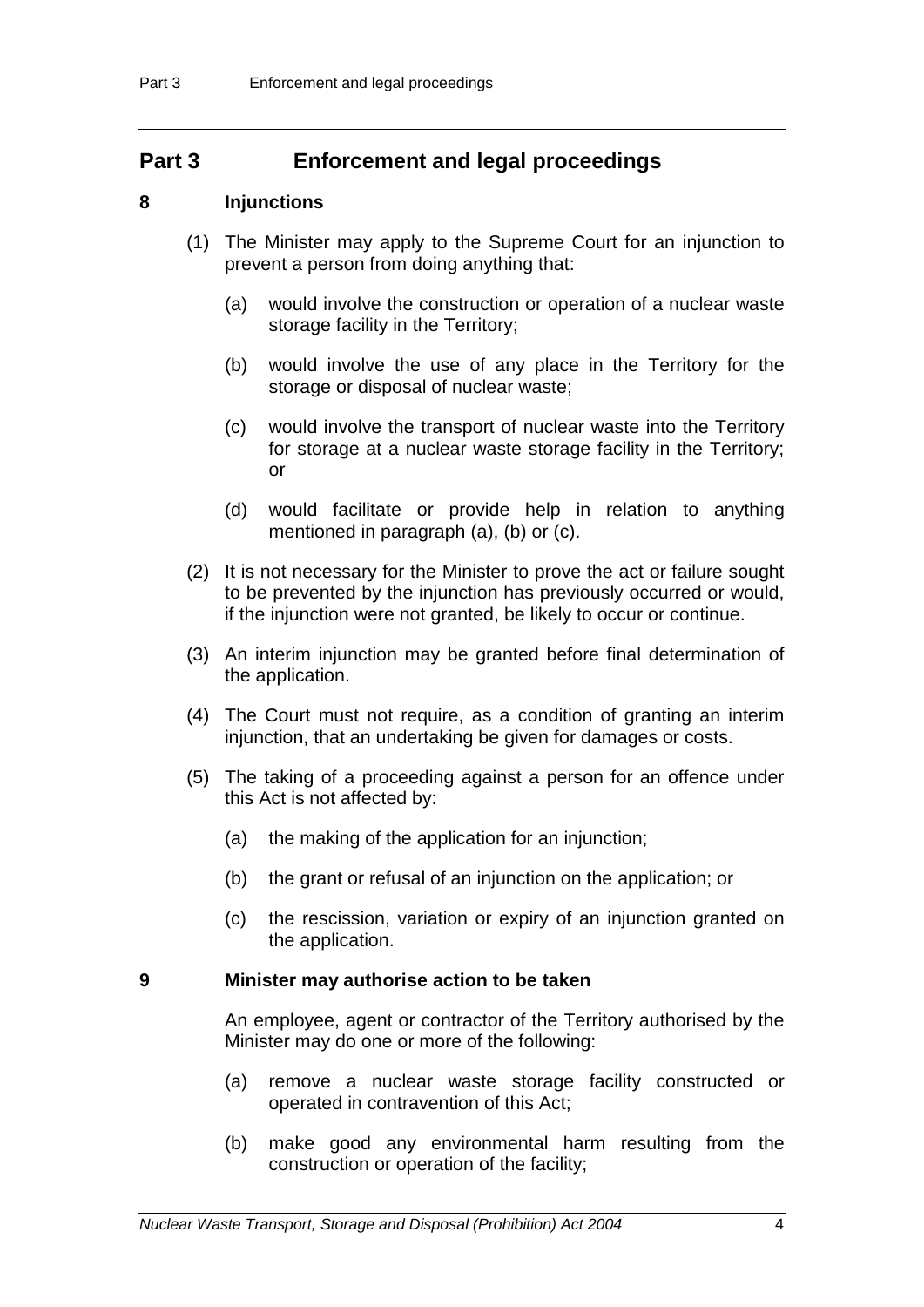## **Part 3 Enforcement and legal proceedings**

#### **8 Injunctions**

- (1) The Minister may apply to the Supreme Court for an injunction to prevent a person from doing anything that:
	- (a) would involve the construction or operation of a nuclear waste storage facility in the Territory;
	- (b) would involve the use of any place in the Territory for the storage or disposal of nuclear waste;
	- (c) would involve the transport of nuclear waste into the Territory for storage at a nuclear waste storage facility in the Territory; or
	- (d) would facilitate or provide help in relation to anything mentioned in paragraph (a), (b) or (c).
- (2) It is not necessary for the Minister to prove the act or failure sought to be prevented by the injunction has previously occurred or would, if the injunction were not granted, be likely to occur or continue.
- (3) An interim injunction may be granted before final determination of the application.
- (4) The Court must not require, as a condition of granting an interim injunction, that an undertaking be given for damages or costs.
- (5) The taking of a proceeding against a person for an offence under this Act is not affected by:
	- (a) the making of the application for an injunction;
	- (b) the grant or refusal of an injunction on the application; or
	- (c) the rescission, variation or expiry of an injunction granted on the application.

#### **9 Minister may authorise action to be taken**

An employee, agent or contractor of the Territory authorised by the Minister may do one or more of the following:

- (a) remove a nuclear waste storage facility constructed or operated in contravention of this Act;
- (b) make good any environmental harm resulting from the construction or operation of the facility;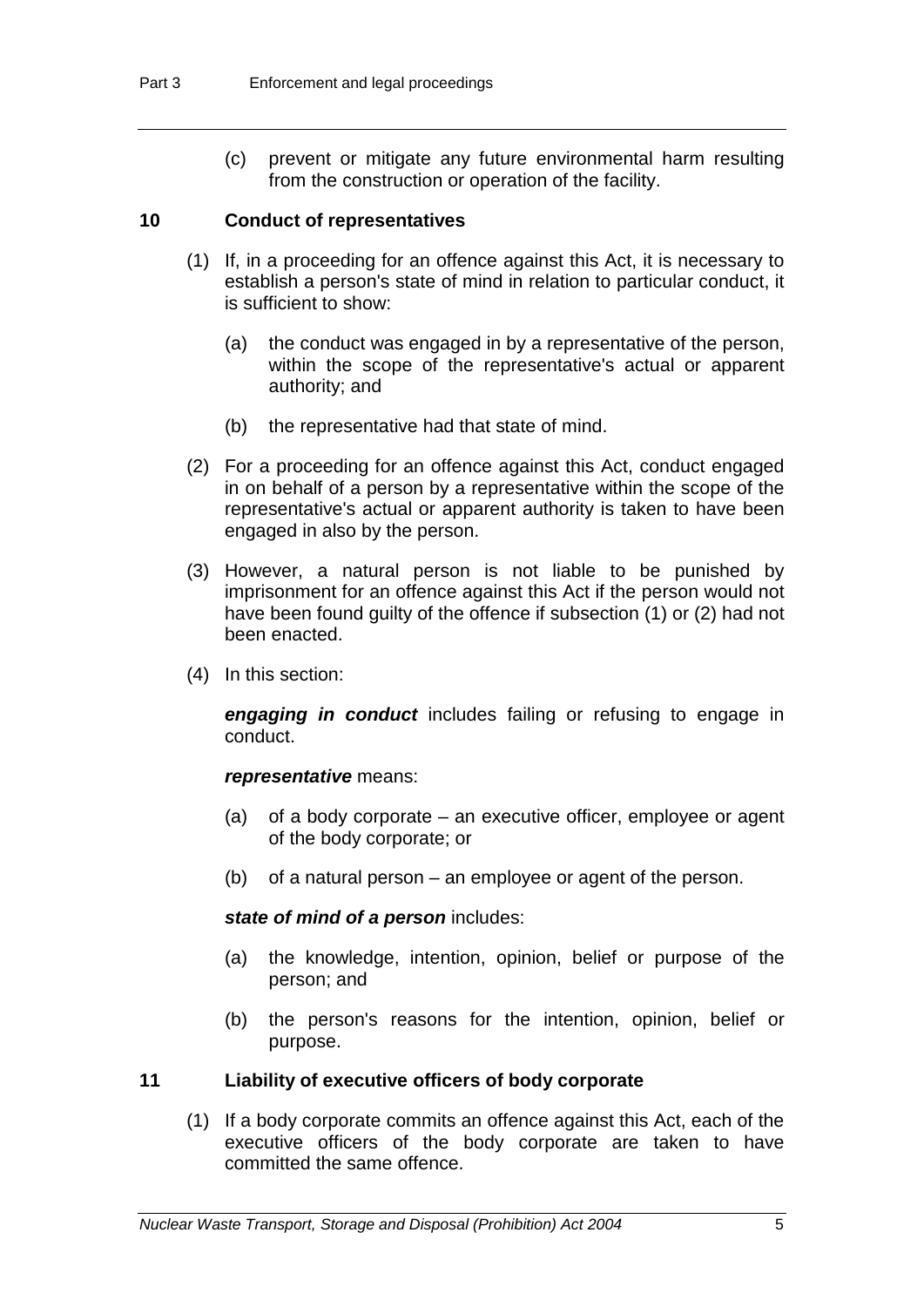(c) prevent or mitigate any future environmental harm resulting from the construction or operation of the facility.

#### **10 Conduct of representatives**

- (1) If, in a proceeding for an offence against this Act, it is necessary to establish a person's state of mind in relation to particular conduct, it is sufficient to show:
	- (a) the conduct was engaged in by a representative of the person, within the scope of the representative's actual or apparent authority; and
	- (b) the representative had that state of mind.
- (2) For a proceeding for an offence against this Act, conduct engaged in on behalf of a person by a representative within the scope of the representative's actual or apparent authority is taken to have been engaged in also by the person.
- (3) However, a natural person is not liable to be punished by imprisonment for an offence against this Act if the person would not have been found guilty of the offence if subsection (1) or (2) had not been enacted.
- (4) In this section:

*engaging in conduct* includes failing or refusing to engage in conduct.

#### *representative* means:

- (a) of a body corporate an executive officer, employee or agent of the body corporate; or
- (b) of a natural person an employee or agent of the person.

#### *state of mind of a person* includes:

- (a) the knowledge, intention, opinion, belief or purpose of the person; and
- (b) the person's reasons for the intention, opinion, belief or purpose.

#### **11 Liability of executive officers of body corporate**

(1) If a body corporate commits an offence against this Act, each of the executive officers of the body corporate are taken to have committed the same offence.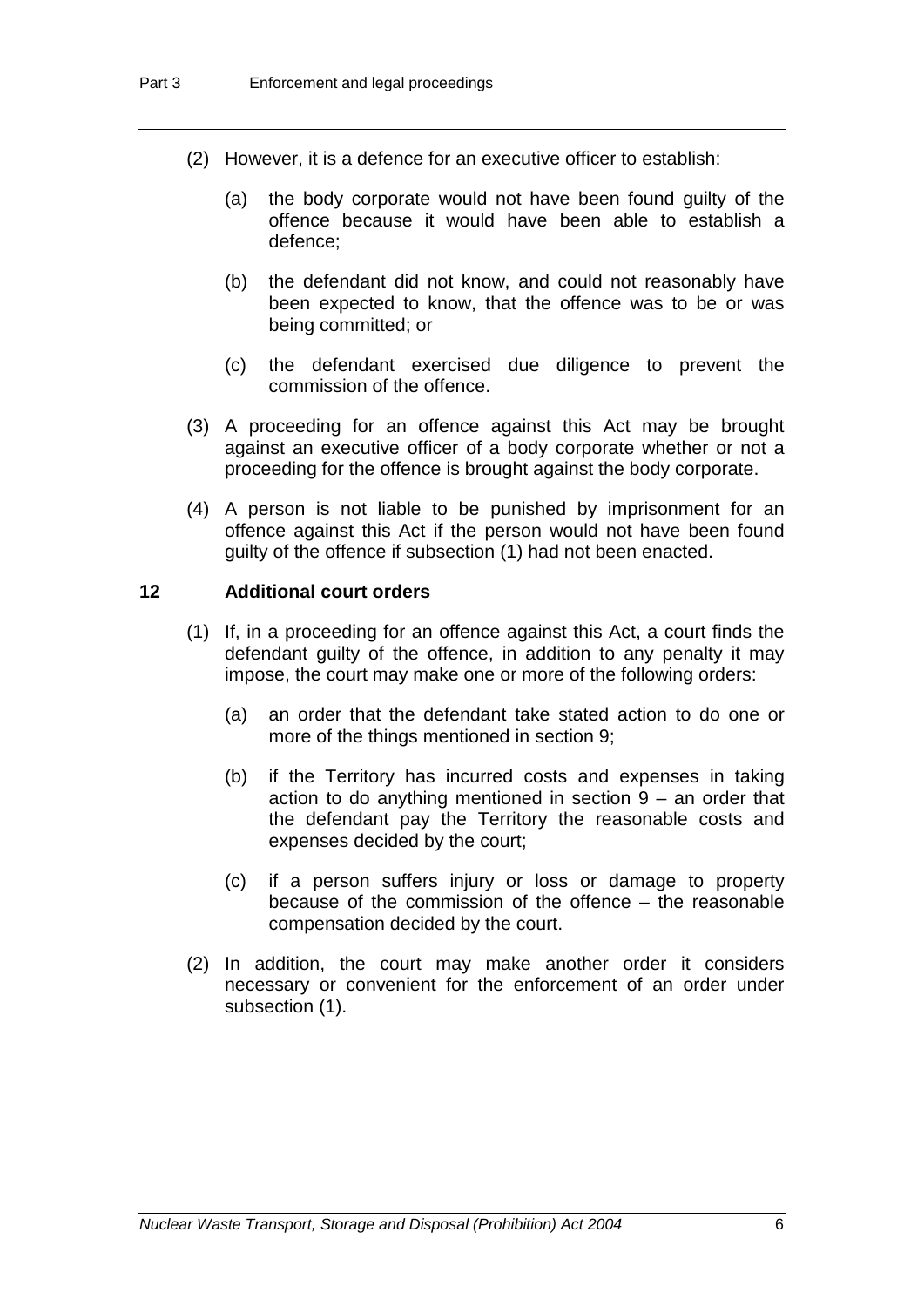- (2) However, it is a defence for an executive officer to establish:
	- (a) the body corporate would not have been found guilty of the offence because it would have been able to establish a defence;
	- (b) the defendant did not know, and could not reasonably have been expected to know, that the offence was to be or was being committed; or
	- (c) the defendant exercised due diligence to prevent the commission of the offence.
- (3) A proceeding for an offence against this Act may be brought against an executive officer of a body corporate whether or not a proceeding for the offence is brought against the body corporate.
- (4) A person is not liable to be punished by imprisonment for an offence against this Act if the person would not have been found guilty of the offence if subsection (1) had not been enacted.

### **12 Additional court orders**

- (1) If, in a proceeding for an offence against this Act, a court finds the defendant guilty of the offence, in addition to any penalty it may impose, the court may make one or more of the following orders:
	- (a) an order that the defendant take stated action to do one or more of the things mentioned in section 9;
	- (b) if the Territory has incurred costs and expenses in taking action to do anything mentioned in section 9 – an order that the defendant pay the Territory the reasonable costs and expenses decided by the court;
	- (c) if a person suffers injury or loss or damage to property because of the commission of the offence – the reasonable compensation decided by the court.
- (2) In addition, the court may make another order it considers necessary or convenient for the enforcement of an order under subsection (1).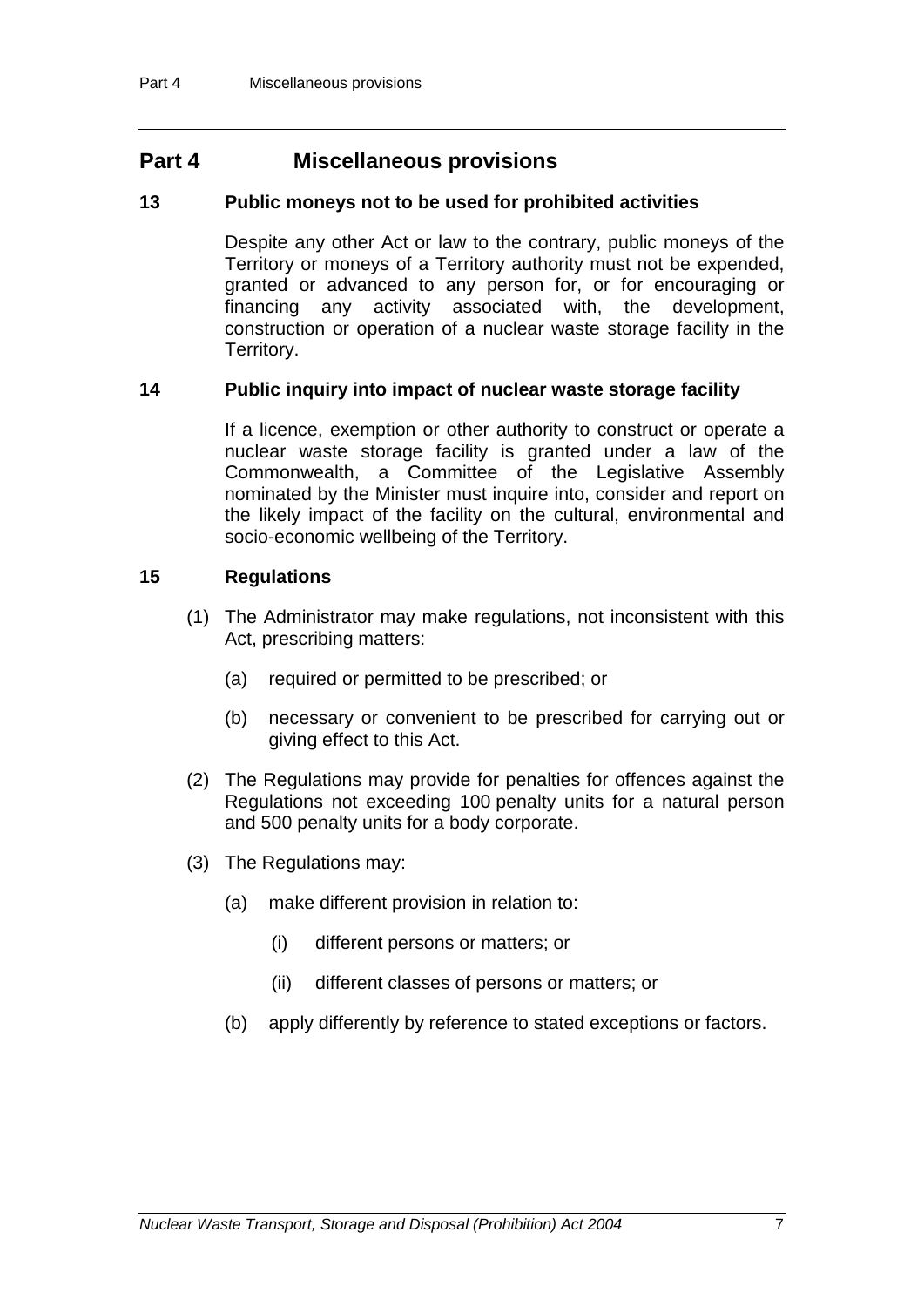## **Part 4 Miscellaneous provisions**

#### **13 Public moneys not to be used for prohibited activities**

Despite any other Act or law to the contrary, public moneys of the Territory or moneys of a Territory authority must not be expended, granted or advanced to any person for, or for encouraging or financing any activity associated with, the development, construction or operation of a nuclear waste storage facility in the Territory.

#### **14 Public inquiry into impact of nuclear waste storage facility**

If a licence, exemption or other authority to construct or operate a nuclear waste storage facility is granted under a law of the Commonwealth, a Committee of the Legislative Assembly nominated by the Minister must inquire into, consider and report on the likely impact of the facility on the cultural, environmental and socio-economic wellbeing of the Territory.

#### **15 Regulations**

- (1) The Administrator may make regulations, not inconsistent with this Act, prescribing matters:
	- (a) required or permitted to be prescribed; or
	- (b) necessary or convenient to be prescribed for carrying out or giving effect to this Act.
- (2) The Regulations may provide for penalties for offences against the Regulations not exceeding 100 penalty units for a natural person and 500 penalty units for a body corporate.
- (3) The Regulations may:
	- (a) make different provision in relation to:
		- (i) different persons or matters; or
		- (ii) different classes of persons or matters; or
	- (b) apply differently by reference to stated exceptions or factors.